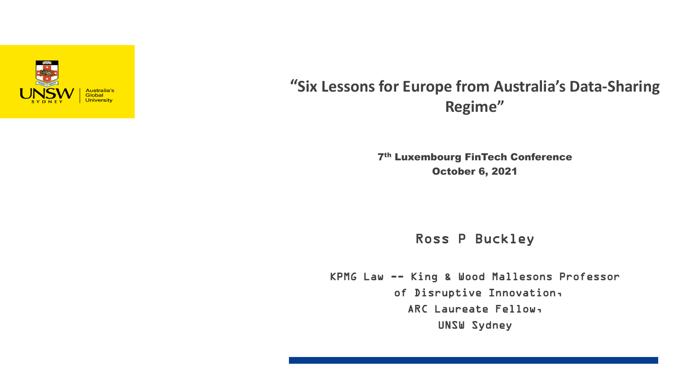

### **"Six Lessons for Europe from Australia's Data-Sharing Regime"**

7th Luxembourg FinTech Conference October 6, 2021

Ross P Buckley

KPMG Law -- King & Wood Mallesons Professor of Disruptive Innovation, ARC Laureate Fellow, UNSW Sydney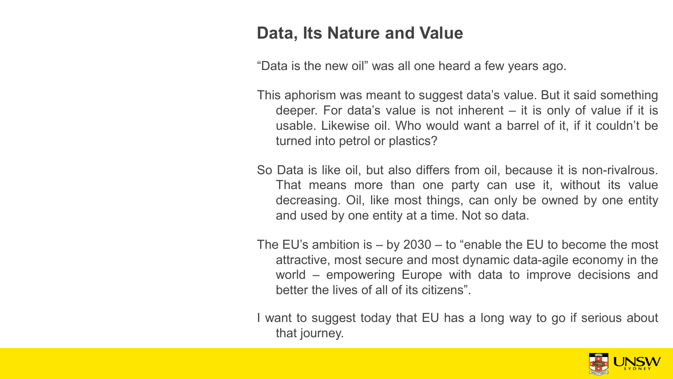### **Data, Its Nature and Value**

"Data is the new oil" was all one heard a few years ago.

- This aphorism was meant to suggest data's value. But it said something deeper. For data's value is not inherent – it is only of value if it is usable. Likewise oil. Who would want a barrel of it, if it couldn't be turned into petrol or plastics?
- So Data is like oil, but also differs from oil, because it is non-rivalrous. That means more than one party can use it, without its value decreasing. Oil, like most things, can only be owned by one entity and used by one entity at a time. Not so data.
- The EU's ambition is by 2030 to "enable the EU to become the most attractive, most secure and most dynamic data-agile economy in the world – empowering Europe with data to improve decisions and better the lives of all of its citizens".

I want to suggest today that EU has a long way to go if serious about that journey.

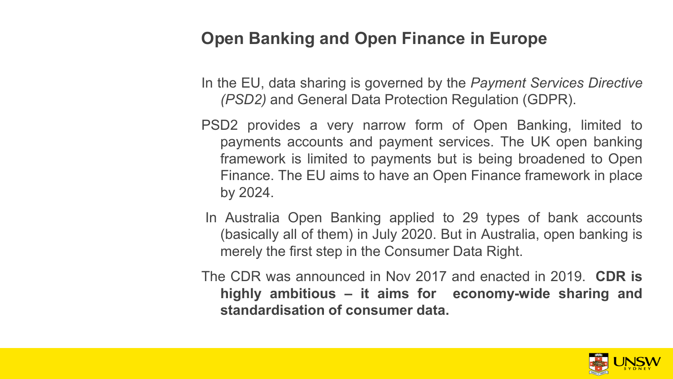### **Open Banking and Open Finance in Europe**

In the EU, data sharing is governed by the *Payment Services Directive (PSD2)* and General Data Protection Regulation (GDPR).

- PSD2 provides a very narrow form of Open Banking, limited to payments accounts and payment services. The UK open banking framework is limited to payments but is being broadened to Open Finance. The EU aims to have an Open Finance framework in place by 2024.
- In Australia Open Banking applied to 29 types of bank accounts (basically all of them) in July 2020. But in Australia, open banking is merely the first step in the Consumer Data Right.
- The CDR was announced in Nov 2017 and enacted in 2019. **CDR is highly ambitious – it aims for economy-wide sharing and standardisation of consumer data.**

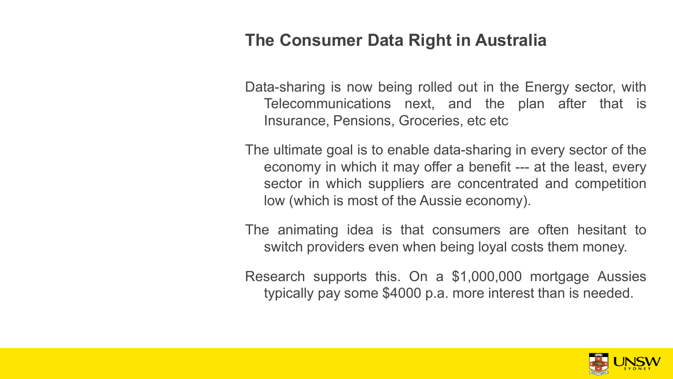### **The Consumer Data Right in Australia**

Data-sharing is now being rolled out in the Energy sector, with Telecommunications next, and the plan after that is Insurance, Pensions, Groceries, etc etc

The ultimate goal is to enable data-sharing in every sector of the economy in which it may offer a benefit --- at the least, every sector in which suppliers are concentrated and competition low (which is most of the Aussie economy).

The animating idea is that consumers are often hesitant to switch providers even when being loyal costs them money.

Research supports this. On a \$1,000,000 mortgage Aussies typically pay some \$4000 p.a. more interest than is needed.

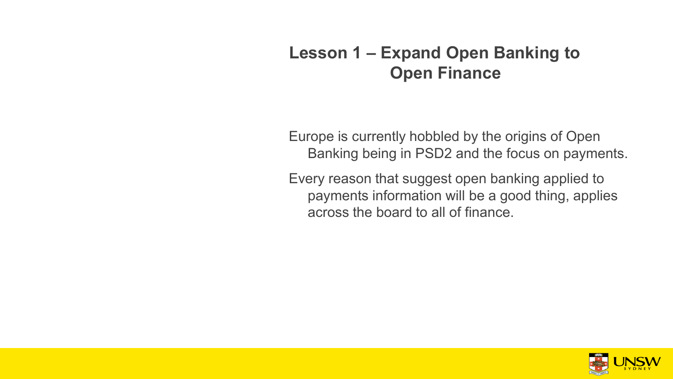## **Lesson 1 – Expand Open Banking to Open Finance**

Europe is currently hobbled by the origins of Open Banking being in PSD2 and the focus on payments.

Every reason that suggest open banking applied to payments information will be a good thing, applies across the board to all of finance.

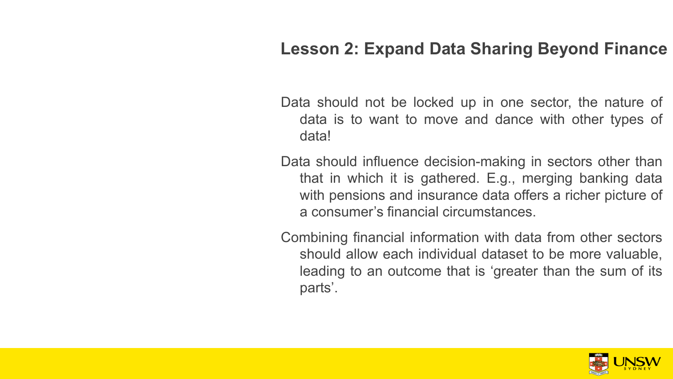## **Lesson 2: Expand Data Sharing Beyond Finance**

Data should not be locked up in one sector, the nature of data is to want to move and dance with other types of data!

Data should influence decision-making in sectors other than that in which it is gathered. E.g., merging banking data with pensions and insurance data offers a richer picture of a consumer's financial circumstances.

Combining financial information with data from other sectors should allow each individual dataset to be more valuable, leading to an outcome that is 'greater than the sum of its parts'.

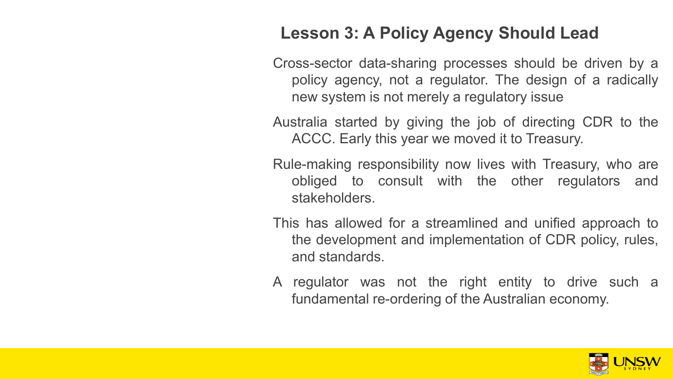# **Lesson 3: A Policy Agency Should Lead**

Cross-sector data-sharing processes should be driven by a policy agency, not a regulator. The design of a radically new system is not merely a regulatory issue

Australia started by giving the job of directing CDR to the ACCC. Early this year we moved it to Treasury.

Rule-making responsibility now lives with Treasury, who are obliged to consult with the other regulators and stakeholders.

This has allowed for a streamlined and unified approach to the development and implementation of CDR policy, rules, and standards.

A regulator was not the right entity to drive such a fundamental re-ordering of the Australian economy.

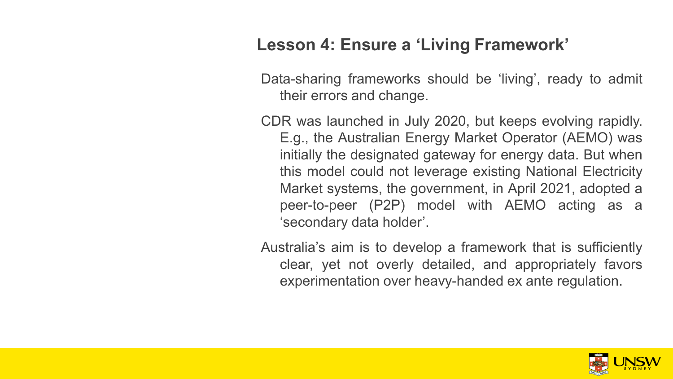## **Lesson 4: Ensure a 'Living Framework'**

Data-sharing frameworks should be 'living', ready to admit their errors and change.

CDR was launched in July 2020, but keeps evolving rapidly. E.g., the Australian Energy Market Operator (AEMO) was initially the designated gateway for energy data. But when this model could not leverage existing National Electricity Market systems, the government, in April 2021, adopted a peer-to-peer (P2P) model with AEMO acting as a 'secondary data holder'.

Australia's aim is to develop a framework that is sufficiently clear, yet not overly detailed, and appropriately favors experimentation over heavy-handed ex ante regulation.

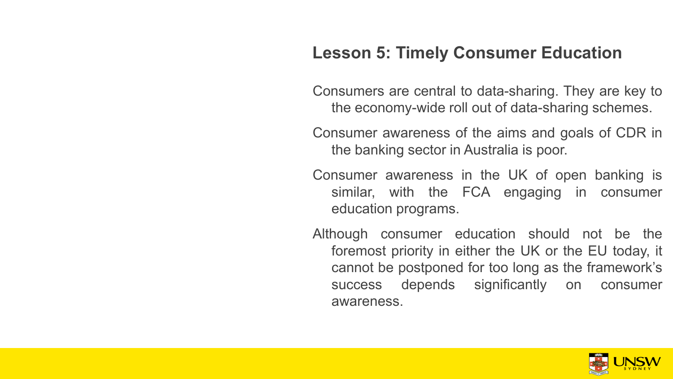## **Lesson 5: Timely Consumer Education**

Consumers are central to data-sharing. They are key to the economy-wide roll out of data-sharing schemes.

Consumer awareness of the aims and goals of CDR in the banking sector in Australia is poor.

Consumer awareness in the UK of open banking is similar, with the FCA engaging in consumer education programs.

Although consumer education should not be the foremost priority in either the UK or the EU today, it cannot be postponed for too long as the framework's success depends significantly on consumer awareness.

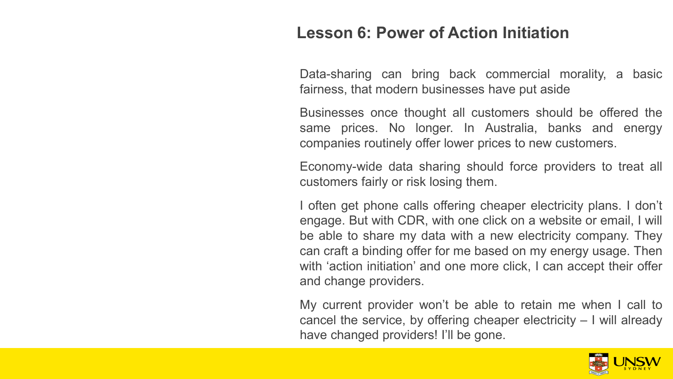#### **Lesson 6: Power of Action Initiation**

Data-sharing can bring back commercial morality, a basic fairness, that modern businesses have put aside

Businesses once thought all customers should be offered the same prices. No longer. In Australia, banks and energy companies routinely offer lower prices to new customers.

Economy-wide data sharing should force providers to treat all customers fairly or risk losing them.

I often get phone calls offering cheaper electricity plans. I don't engage. But with CDR, with one click on a website or email, I will be able to share my data with a new electricity company. They can craft a binding offer for me based on my energy usage. Then with 'action initiation' and one more click, I can accept their offer and change providers.

My current provider won't be able to retain me when I call to cancel the service, by offering cheaper electricity – I will already have changed providers! I'll be gone.